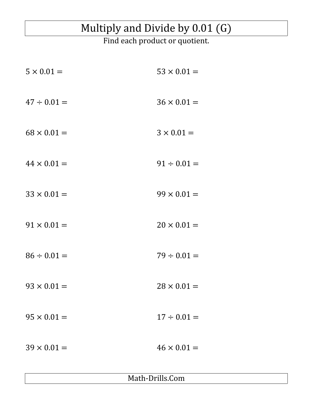## Multiply and Divide by 0.01 (G)

Find each product or quotient.

| $5 \times 0.01 =$  | $53 \times 0.01 =$ |
|--------------------|--------------------|
| $47 \div 0.01 =$   | $36 \times 0.01 =$ |
| $68 \times 0.01 =$ | $3 \times 0.01 =$  |
| $44 \times 0.01 =$ | $91 \div 0.01 =$   |
| $33 \times 0.01 =$ | $99 \times 0.01 =$ |
| $91 \times 0.01 =$ | $20 \times 0.01 =$ |
| $86 \div 0.01 =$   | $79 \div 0.01 =$   |
| $93 \times 0.01 =$ | $28 \times 0.01 =$ |
| $95 \times 0.01 =$ | $17 \div 0.01 =$   |
| $39 \times 0.01 =$ | $46 \times 0.01 =$ |

Math-Drills.Com